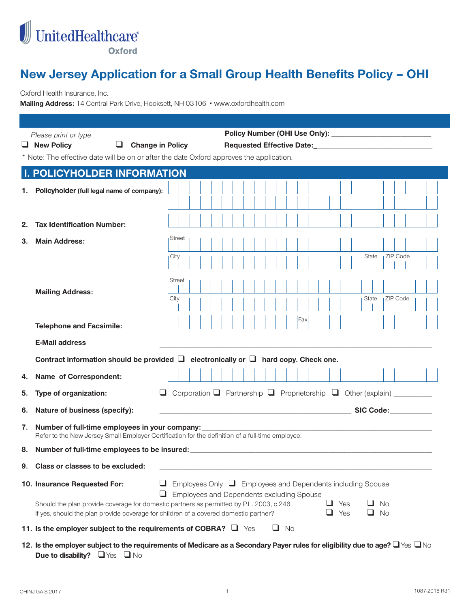

# **New Jersey Application for a Small Group Health Benefits Policy – OHI**

Oxford Health Insurance, Inc.

Mailing Address: 14 Central Park Drive, Hooksett, NH 03106 · www.oxfordhealth.com

|    | Please print or type<br>$\Box$ New Policy<br><b>Change in Policy</b><br>Requested Effective Date: North Science Assembly<br>⊔                                                   |                                                                                                                         |  |  |  |  |  |  |
|----|---------------------------------------------------------------------------------------------------------------------------------------------------------------------------------|-------------------------------------------------------------------------------------------------------------------------|--|--|--|--|--|--|
|    | * Note: The effective date will be on or after the date Oxford approves the application.                                                                                        |                                                                                                                         |  |  |  |  |  |  |
|    | <b>I. POLICYHOLDER INFORMATION</b>                                                                                                                                              |                                                                                                                         |  |  |  |  |  |  |
|    |                                                                                                                                                                                 |                                                                                                                         |  |  |  |  |  |  |
| 1. | Policyholder (full legal name of company):                                                                                                                                      |                                                                                                                         |  |  |  |  |  |  |
|    |                                                                                                                                                                                 |                                                                                                                         |  |  |  |  |  |  |
| 2. | <b>Tax Identification Number:</b>                                                                                                                                               |                                                                                                                         |  |  |  |  |  |  |
| З. | <b>Main Address:</b>                                                                                                                                                            | <b>Street</b>                                                                                                           |  |  |  |  |  |  |
|    |                                                                                                                                                                                 |                                                                                                                         |  |  |  |  |  |  |
|    |                                                                                                                                                                                 | <b>ZIP</b> Code<br>State<br>City                                                                                        |  |  |  |  |  |  |
|    |                                                                                                                                                                                 | <b>Street</b>                                                                                                           |  |  |  |  |  |  |
|    | <b>Mailing Address:</b>                                                                                                                                                         |                                                                                                                         |  |  |  |  |  |  |
|    |                                                                                                                                                                                 | <b>ZIP</b> Code<br>City<br>State                                                                                        |  |  |  |  |  |  |
|    |                                                                                                                                                                                 | Fax                                                                                                                     |  |  |  |  |  |  |
|    | <b>Telephone and Facsimile:</b>                                                                                                                                                 |                                                                                                                         |  |  |  |  |  |  |
|    | <b>E-Mail address</b>                                                                                                                                                           |                                                                                                                         |  |  |  |  |  |  |
|    |                                                                                                                                                                                 | Contract information should be provided $\Box$ electronically or $\Box$ hard copy. Check one.                           |  |  |  |  |  |  |
| 4. | Name of Correspondent:                                                                                                                                                          |                                                                                                                         |  |  |  |  |  |  |
| 5. | Type of organization:                                                                                                                                                           | Corporation $\Box$ Partnership $\Box$ Proprietorship $\Box$ Other (explain) _________                                   |  |  |  |  |  |  |
| 6. | Nature of business (specify):                                                                                                                                                   | SIC Code:                                                                                                               |  |  |  |  |  |  |
| 7. | Number of full-time employees in your company:<br>Refer to the New Jersey Small Employer Certification for the definition of a full-time employee.                              |                                                                                                                         |  |  |  |  |  |  |
| 8. |                                                                                                                                                                                 | Number of full-time employees to be insured: ___________________________________                                        |  |  |  |  |  |  |
|    | 9. Class or classes to be excluded:                                                                                                                                             |                                                                                                                         |  |  |  |  |  |  |
|    | 10. Insurance Requested For:                                                                                                                                                    | Employees Only $\Box$ Employees and Dependents including Spouse<br>Employees and Dependents excluding Spouse            |  |  |  |  |  |  |
|    | Should the plan provide coverage for domestic partners as permitted by P.L. 2003, c.246<br>If yes, should the plan provide coverage for children of a covered domestic partner? | ⊔.<br>Yes<br><b>No</b><br>$\Box$ Yes<br><b>No</b>                                                                       |  |  |  |  |  |  |
|    | 11. Is the employer subject to the requirements of COBRA? $\Box$ Yes                                                                                                            | $\Box$ No                                                                                                               |  |  |  |  |  |  |
|    |                                                                                                                                                                                 | 12 Let he employer subject to the requirements of Medicare as a Secondary Payer rules for eligibility due to age $\Box$ |  |  |  |  |  |  |

**12. Is the employer subject to the requirements of Medicare as a Secondary Payer rules for eligibility due to age? U Yes U No Due to disability?**  $\Box$  Yes  $\Box$  No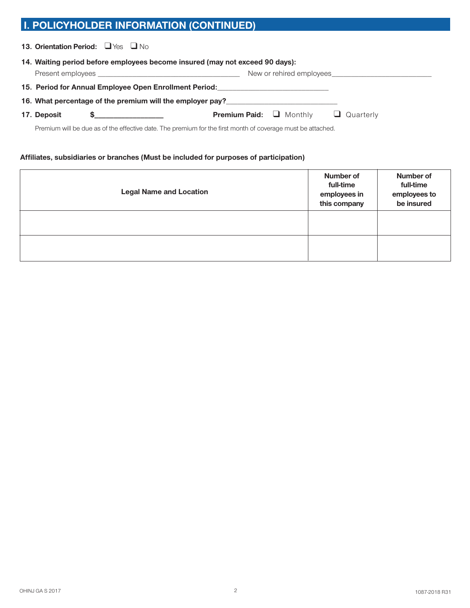## **I. POLICYHOLDER INFORMATION (CONTINUED)**

| 13. Orientation Period: $\Box$ Yes $\Box$ No |  |  |
|----------------------------------------------|--|--|
|----------------------------------------------|--|--|

| 14. Waiting period before employees become insured (may not exceed 90 days):                                |  |                                     |  |                  |  |  |  |
|-------------------------------------------------------------------------------------------------------------|--|-------------------------------------|--|------------------|--|--|--|
|                                                                                                             |  |                                     |  |                  |  |  |  |
| 15. Period for Annual Employee Open Enrollment Period: National Community Period:                           |  |                                     |  |                  |  |  |  |
| 16. What percentage of the premium will the employer pay?                                                   |  |                                     |  |                  |  |  |  |
| 17. Deposit                                                                                                 |  | <b>Premium Paid:</b> $\Box$ Monthly |  | $\Box$ Quarterly |  |  |  |
| Premium will be due as of the effective date. The premium for the first month of coverage must be attached. |  |                                     |  |                  |  |  |  |

#### **Affiliates, subsidiaries or branches (Must be included for purposes of participation)**

| <b>Legal Name and Location</b> | Number of<br>full-time<br>employees in<br>this company | Number of<br>full-time<br>employees to<br>be insured |
|--------------------------------|--------------------------------------------------------|------------------------------------------------------|
|                                |                                                        |                                                      |
|                                |                                                        |                                                      |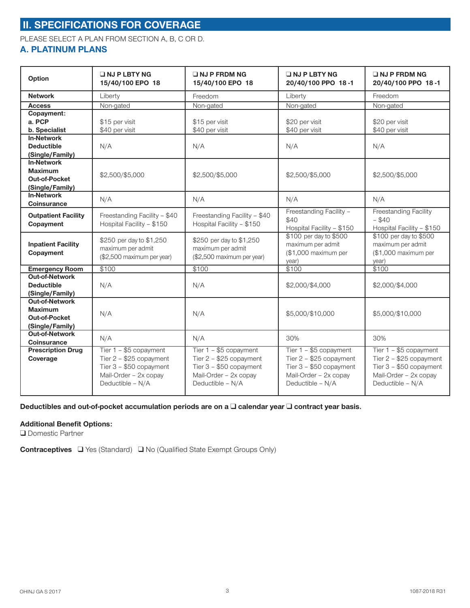## **II. SPECIFICATIONS FOR COVERAGE**

PLEASE SELECT A PLAN FROM SECTION A, B, C OR D.

### **A. PLATINUM PLANS**

| Option                                                                             | $\Box$ NJ P LBTY NG<br>15/40/100 EPO 18                                                                                      | $\Box$ NJ P FRDM NG<br>15/40/100 EPO 18                                                                                      | $\Box$ NJ P LBTY NG<br>20/40/100 PPO 18-1                                                                                    | $\Box$ NJ P FRDM NG<br>20/40/100 PPO 18-1                                                                                  |
|------------------------------------------------------------------------------------|------------------------------------------------------------------------------------------------------------------------------|------------------------------------------------------------------------------------------------------------------------------|------------------------------------------------------------------------------------------------------------------------------|----------------------------------------------------------------------------------------------------------------------------|
| <b>Network</b>                                                                     | Liberty                                                                                                                      | Freedom                                                                                                                      | Liberty                                                                                                                      | Freedom                                                                                                                    |
| <b>Access</b>                                                                      | Non-gated                                                                                                                    | Non-gated                                                                                                                    | Non-gated                                                                                                                    | Non-gated                                                                                                                  |
| Copayment:                                                                         |                                                                                                                              |                                                                                                                              |                                                                                                                              |                                                                                                                            |
| a. PCP                                                                             | \$15 per visit                                                                                                               | \$15 per visit                                                                                                               | \$20 per visit                                                                                                               | \$20 per visit                                                                                                             |
| b. Specialist                                                                      | \$40 per visit                                                                                                               | \$40 per visit                                                                                                               | \$40 per visit                                                                                                               | \$40 per visit                                                                                                             |
| <b>In-Network</b>                                                                  |                                                                                                                              |                                                                                                                              |                                                                                                                              |                                                                                                                            |
| <b>Deductible</b>                                                                  | N/A                                                                                                                          | N/A                                                                                                                          | N/A                                                                                                                          | N/A                                                                                                                        |
| (Single/Family)                                                                    |                                                                                                                              |                                                                                                                              |                                                                                                                              |                                                                                                                            |
| <b>In-Network</b><br><b>Maximum</b><br>Out-of-Pocket<br>(Single/Family)            | \$2,500/\$5,000                                                                                                              | \$2,500/\$5,000                                                                                                              | \$2,500/\$5,000                                                                                                              | \$2,500/\$5,000                                                                                                            |
| <b>In-Network</b><br><b>Coinsurance</b>                                            | N/A                                                                                                                          | N/A                                                                                                                          | N/A                                                                                                                          | N/A                                                                                                                        |
| <b>Outpatient Facility</b><br>Copayment                                            | Freestanding Facility - \$40<br>Hospital Facility - \$150                                                                    | Freestanding Facility - \$40<br>Hospital Facility - \$150                                                                    | Freestanding Facility -<br>\$40<br>Hospital Facility - \$150                                                                 | <b>Freestanding Facility</b><br>$-$ \$40<br>Hospital Facility - \$150                                                      |
| <b>Inpatient Facility</b><br>Copayment                                             | \$250 per day to \$1,250<br>maximum per admit<br>(\$2,500 maximum per year)                                                  | \$250 per day to \$1,250<br>maximum per admit<br>(\$2,500 maximum per year)                                                  | \$100 per day to \$500<br>maximum per admit<br>(\$1,000 maximum per<br>year)                                                 | \$100 per day to \$500<br>maximum per admit<br>(\$1,000 maximum per<br>year)                                               |
| <b>Emergency Room</b>                                                              | \$100                                                                                                                        | \$100                                                                                                                        | \$100                                                                                                                        | \$100                                                                                                                      |
| <b>Out-of-Network</b><br><b>Deductible</b><br>(Single/Family)                      | N/A                                                                                                                          | N/A                                                                                                                          | \$2,000/\$4,000                                                                                                              | \$2,000/\$4,000                                                                                                            |
| <b>Out-of-Network</b><br><b>Maximum</b><br><b>Out-of-Pocket</b><br>(Single/Family) | N/A                                                                                                                          | N/A                                                                                                                          | \$5,000/\$10,000                                                                                                             | \$5,000/\$10,000                                                                                                           |
| <b>Out-of-Network</b><br><b>Coinsurance</b>                                        | N/A                                                                                                                          | N/A                                                                                                                          | 30%                                                                                                                          | 30%                                                                                                                        |
| <b>Prescription Drug</b><br>Coverage                                               | Tier $1 - $5$ copayment<br>Tier $2 - $25$ copayment<br>Tier $3 - $50$ copayment<br>Mail-Order - 2x copay<br>Deductible - N/A | Tier $1 - $5$ copayment<br>Tier $2 - $25$ copayment<br>Tier $3 - $50$ copayment<br>Mail-Order - 2x copay<br>Deductible - N/A | Tier $1 - $5$ copayment<br>Tier $2 - $25$ copayment<br>Tier $3 - $50$ copayment<br>Mail-Order - 2x copay<br>Deductible - N/A | Tier $1 - $5$ copayment<br>Tier 2 - \$25 copayment<br>Tier 3 - \$50 copayment<br>Mail-Order - 2x copay<br>Deductible - N/A |

#### **Deductibles and out-of-pocket accumulation periods are on a □ calendar year □ contract year basis.**

#### **Additional Benefit Options:**

**Q** Domestic Partner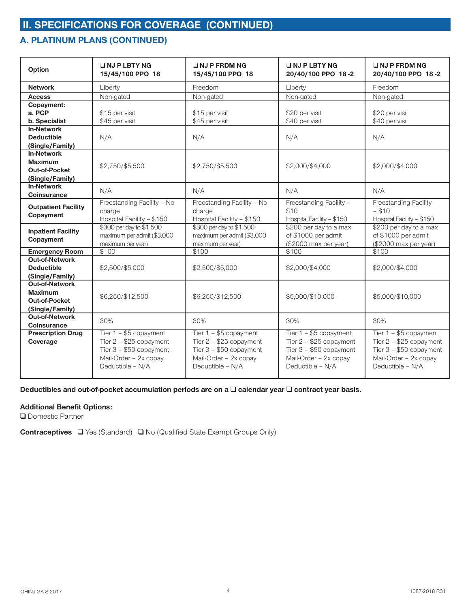## **A. PLATINUM PLANS (CONTINUED)**

| Option                                                                      | $\Box$ NJ P LBTY NG<br>15/45/100 PPO 18                                                                                      | $\Box$ NJ P FRDM NG<br>15/45/100 PPO 18                                                                                     | $\Box$ NJ P LBTY NG<br>20/40/100 PPO 18-2                                                                                    | $\Box$ NJ P FRDM NG<br>20/40/100 PPO 18-2                                                                                    |
|-----------------------------------------------------------------------------|------------------------------------------------------------------------------------------------------------------------------|-----------------------------------------------------------------------------------------------------------------------------|------------------------------------------------------------------------------------------------------------------------------|------------------------------------------------------------------------------------------------------------------------------|
| <b>Network</b>                                                              | Liberty                                                                                                                      | Freedom                                                                                                                     | Liberty                                                                                                                      | Freedom                                                                                                                      |
| <b>Access</b>                                                               | Non-gated                                                                                                                    | Non-gated                                                                                                                   | Non-gated                                                                                                                    | Non-gated                                                                                                                    |
| Copayment:<br>a. PCP                                                        | \$15 per visit                                                                                                               | \$15 per visit                                                                                                              | \$20 per visit                                                                                                               | \$20 per visit                                                                                                               |
| b. Specialist                                                               | \$45 per visit                                                                                                               | \$45 per visit                                                                                                              | \$40 per visit                                                                                                               | \$40 per visit                                                                                                               |
| <b>In-Network</b><br><b>Deductible</b><br>(Single/Family)                   | N/A                                                                                                                          | N/A                                                                                                                         | N/A                                                                                                                          | N/A                                                                                                                          |
| <b>In-Network</b><br><b>Maximum</b><br>Out-of-Pocket<br>(Single/Family)     | \$2,750/\$5,500                                                                                                              | \$2,750/\$5,500                                                                                                             | \$2,000/\$4,000                                                                                                              | \$2,000/\$4,000                                                                                                              |
| <b>In-Network</b><br>Coinsurance                                            | N/A                                                                                                                          | N/A                                                                                                                         | N/A                                                                                                                          | N/A                                                                                                                          |
| <b>Outpatient Facility</b><br>Copayment                                     | Freestanding Facility - No<br>charge<br>Hospital Facility - \$150                                                            | Freestanding Facility - No<br>charge<br>Hospital Facility - \$150                                                           | Freestanding Facility -<br>\$10<br>Hospital Facility - \$150                                                                 | <b>Freestanding Facility</b><br>$-$ \$10<br>Hospital Facility - \$150                                                        |
| <b>Inpatient Facility</b><br>Copayment                                      | \$300 per day to \$1,500<br>maximum per admit (\$3,000<br>maximum per year)                                                  | \$300 per day to \$1,500<br>maximum per admit (\$3,000<br>maximum per year)                                                 | \$200 per day to a max<br>of \$1000 per admit<br>(\$2000 max per year)                                                       | \$200 per day to a max<br>of \$1000 per admit<br>(\$2000 max per year)                                                       |
| <b>Emergency Room</b>                                                       | \$100                                                                                                                        | \$100                                                                                                                       | \$100                                                                                                                        | \$100                                                                                                                        |
| <b>Out-of-Network</b><br><b>Deductible</b><br>(Single/Family)               | \$2,500/\$5,000                                                                                                              | \$2,500/\$5,000                                                                                                             | \$2,000/\$4,000                                                                                                              | \$2,000/\$4,000                                                                                                              |
| <b>Out-of-Network</b><br><b>Maximum</b><br>Out-of-Pocket<br>(Single/Family) | \$6,250/\$12,500                                                                                                             | \$6,250/\$12,500                                                                                                            | \$5,000/\$10,000                                                                                                             | \$5,000/\$10,000                                                                                                             |
| Out-of-Network<br><b>Coinsurance</b>                                        | 30%                                                                                                                          | 30%                                                                                                                         | 30%                                                                                                                          | 30%                                                                                                                          |
| <b>Prescription Drug</b><br>Coverage                                        | Tier $1 - $5$ copayment<br>Tier $2 - $25$ copayment<br>Tier $3 - $50$ copayment<br>Mail-Order - 2x copay<br>Deductible - N/A | Tier 1 - \$5 copayment<br>Tier $2 - $25$ copayment<br>Tier $3 - $50$ copayment<br>Mail-Order - 2x copay<br>Deductible - N/A | Tier $1 - $5$ copayment<br>Tier $2 - $25$ copayment<br>Tier $3 - $50$ copayment<br>Mail-Order - 2x copay<br>Deductible - N/A | Tier $1 - $5$ copayment<br>Tier $2 - $25$ copayment<br>Tier $3 - $50$ copayment<br>Mail-Order - 2x copay<br>Deductible - N/A |

**Deductibles and out-of-pocket accumulation periods are on a □ calendar year □ contract year basis.** 

#### **Additional Benefit Options:**

**Q** Domestic Partner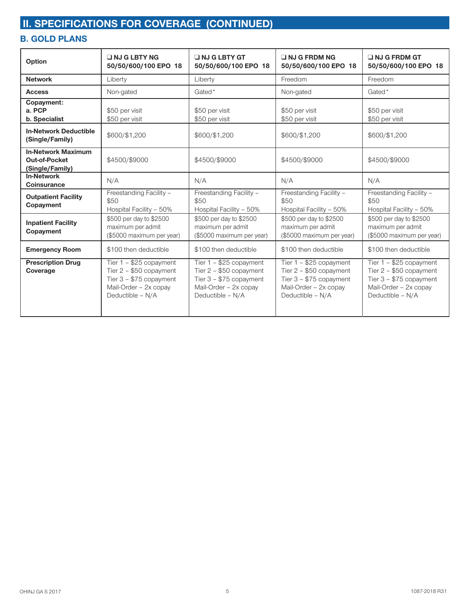## **B. GOLD PLANS**

| Option                                                               | $\Box$ NJ G LBTY NG<br>50/50/600/100 EPO 18                                                                                   | $\Box$ NJ G LBTY GT<br>50/50/600/100 EPO 18                                                                                   | $\Box$ NJ G FRDM NG<br>50/50/600/100 EPO 18                                                                                  | $\Box$ NJ G FRDM GT<br>50/50/600/100 EPO 18                                                                                   |
|----------------------------------------------------------------------|-------------------------------------------------------------------------------------------------------------------------------|-------------------------------------------------------------------------------------------------------------------------------|------------------------------------------------------------------------------------------------------------------------------|-------------------------------------------------------------------------------------------------------------------------------|
| <b>Network</b>                                                       | Liberty                                                                                                                       | Liberty                                                                                                                       | Freedom                                                                                                                      | Freedom                                                                                                                       |
| <b>Access</b>                                                        | Non-gated                                                                                                                     | Gated*                                                                                                                        | Non-gated                                                                                                                    | Gated*                                                                                                                        |
| Copayment:<br>a. PCP<br>b. Specialist                                | \$50 per visit<br>\$50 per visit                                                                                              | \$50 per visit<br>\$50 per visit                                                                                              | \$50 per visit<br>\$50 per visit                                                                                             | \$50 per visit<br>\$50 per visit                                                                                              |
| <b>In-Network Deductible</b><br>(Single/Family)                      | \$600/\$1,200                                                                                                                 | \$600/\$1,200                                                                                                                 | \$600/\$1,200                                                                                                                | \$600/\$1,200                                                                                                                 |
| <b>In-Network Maximum</b><br><b>Out-of-Pocket</b><br>(Single/Family) | \$4500/\$9000                                                                                                                 | \$4500/\$9000                                                                                                                 | \$4500/\$9000                                                                                                                | \$4500/\$9000                                                                                                                 |
| <b>In-Network</b><br><b>Coinsurance</b>                              | N/A                                                                                                                           | N/A                                                                                                                           | N/A                                                                                                                          | N/A                                                                                                                           |
| <b>Outpatient Facility</b><br>Copayment                              | Freestanding Facility -<br>\$50<br>Hospital Facility - 50%                                                                    | Freestanding Facility -<br>\$50<br>Hospital Facility - 50%                                                                    | Freestanding Facility -<br>\$50<br>Hospital Facility - 50%                                                                   | Freestanding Facility -<br>\$50<br>Hospital Facility - 50%                                                                    |
| <b>Inpatient Facility</b><br>Copayment                               | \$500 per day to \$2500<br>maximum per admit<br>(\$5000 maximum per year)                                                     | \$500 per day to \$2500<br>maximum per admit<br>(\$5000 maximum per year)                                                     | \$500 per day to \$2500<br>maximum per admit<br>(\$5000 maximum per year)                                                    | \$500 per day to \$2500<br>maximum per admit<br>(\$5000 maximum per year)                                                     |
| <b>Emergency Room</b>                                                | \$100 then deductible                                                                                                         | \$100 then deductible                                                                                                         | \$100 then deductible                                                                                                        | \$100 then deductible                                                                                                         |
| <b>Prescription Drug</b><br>Coverage                                 | Tier $1 - $25$ copayment<br>Tier $2 - $50$ copayment<br>Tier $3 - $75$ copayment<br>Mail-Order - 2x copay<br>Deductible - N/A | Tier $1 - $25$ copayment<br>Tier $2 - $50$ copayment<br>Tier $3 - $75$ copayment<br>Mail-Order - 2x copay<br>Deductible - N/A | Tier $1 - $25$ copayment<br>Tier 2 - \$50 copayment<br>Tier $3 - $75$ copayment<br>Mail-Order - 2x copay<br>Deductible - N/A | Tier $1 - $25$ copayment<br>Tier $2 - $50$ copayment<br>Tier $3 - $75$ copayment<br>Mail-Order - 2x copay<br>Deductible - N/A |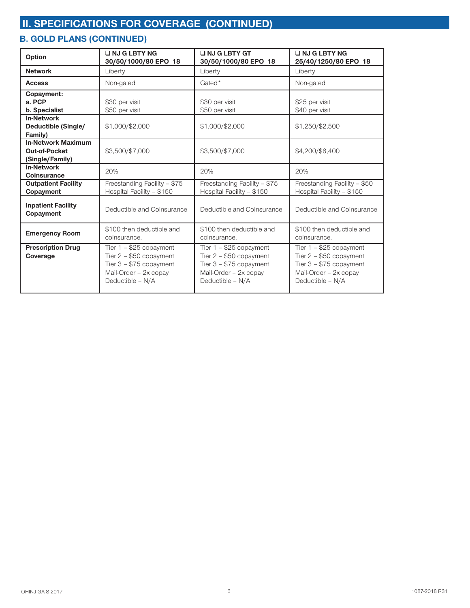## **B. GOLD PLANS (CONTINUED)**

| Option                                                        | $\Box$ NJ G LBTY NG<br>30/50/1000/80 EPO 18                                                                                   | INJ G LBTY GT<br>30/50/1000/80 EPO 18                                                                                         | $\Box$ NJ G LBTY NG<br>25/40/1250/80 EPO 18                                                                                   |
|---------------------------------------------------------------|-------------------------------------------------------------------------------------------------------------------------------|-------------------------------------------------------------------------------------------------------------------------------|-------------------------------------------------------------------------------------------------------------------------------|
| <b>Network</b>                                                | Liberty                                                                                                                       | Liberty                                                                                                                       | Liberty                                                                                                                       |
| <b>Access</b>                                                 | Non-gated                                                                                                                     | Gated*                                                                                                                        | Non-gated                                                                                                                     |
| Copayment:<br>a. PCP<br>b. Specialist                         | \$30 per visit<br>\$50 per visit                                                                                              | \$30 per visit<br>\$50 per visit                                                                                              | \$25 per visit<br>\$40 per visit                                                                                              |
| <b>In-Network</b><br>Deductible (Single/<br>Family)           | \$1,000/\$2,000                                                                                                               | \$1,000/\$2,000                                                                                                               | \$1,250/\$2,500                                                                                                               |
| <b>In-Network Maximum</b><br>Out-of-Pocket<br>(Single/Family) | \$3,500/\$7,000                                                                                                               | \$3,500/\$7,000                                                                                                               | \$4,200/\$8,400                                                                                                               |
| <b>In-Network</b><br><b>Coinsurance</b>                       | 20%                                                                                                                           | 20%                                                                                                                           | 20%                                                                                                                           |
| <b>Outpatient Facility</b><br>Copayment                       | Freestanding Facility - \$75<br>Hospital Facility - \$150                                                                     | Freestanding Facility - \$75<br>Hospital Facility - \$150                                                                     | Freestanding Facility - \$50<br>Hospital Facility - \$150                                                                     |
| <b>Inpatient Facility</b><br>Copayment                        | Deductible and Coinsurance                                                                                                    | Deductible and Coinsurance                                                                                                    | Deductible and Coinsurance                                                                                                    |
| <b>Emergency Room</b>                                         | \$100 then deductible and<br>coinsurance.                                                                                     | \$100 then deductible and<br>coinsurance.                                                                                     | \$100 then deductible and<br>coinsurance.                                                                                     |
| <b>Prescription Drug</b><br>Coverage                          | Tier $1 - $25$ copayment<br>Tier $2 - $50$ copayment<br>Tier $3 - $75$ copayment<br>Mail-Order - 2x copay<br>Deductible - N/A | Tier $1 - $25$ copayment<br>Tier $2 - $50$ copayment<br>Tier $3 - $75$ copayment<br>Mail-Order - 2x copay<br>Deductible - N/A | Tier $1 - $25$ copayment<br>Tier $2 - $50$ copayment<br>Tier $3 - $75$ copayment<br>Mail-Order - 2x copay<br>Deductible - N/A |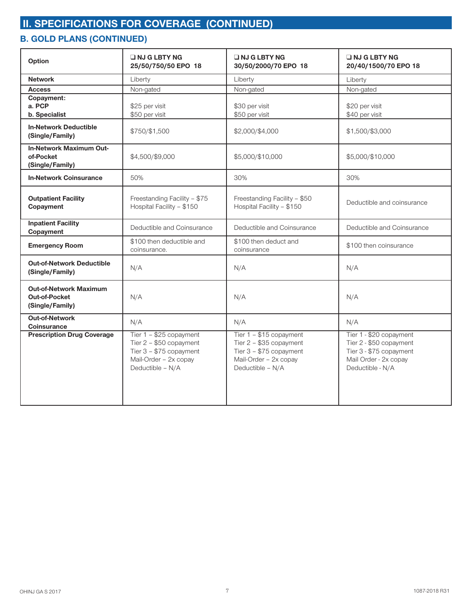### **B. GOLD PLANS (CONTINUED)**

| Option                                                                   | INJ G LBTY NG<br>25/50/750/50 EPO 18                                                                                         | INJ G LBTY NG<br>30/50/2000/70 EPO 18                                                                                       | $\Box$ NJ G LBTY NG<br>20/40/1500/70 EPO 18                                                                                |
|--------------------------------------------------------------------------|------------------------------------------------------------------------------------------------------------------------------|-----------------------------------------------------------------------------------------------------------------------------|----------------------------------------------------------------------------------------------------------------------------|
| <b>Network</b>                                                           | Liberty                                                                                                                      | Liberty                                                                                                                     | Liberty                                                                                                                    |
| <b>Access</b>                                                            | Non-gated                                                                                                                    | Non-gated                                                                                                                   | Non-gated                                                                                                                  |
| Copayment:<br>a. PCP<br>b. Specialist                                    | \$25 per visit<br>\$50 per visit                                                                                             | \$30 per visit<br>\$50 per visit                                                                                            | \$20 per visit<br>\$40 per visit                                                                                           |
| <b>In-Network Deductible</b><br>(Single/Family)                          | \$750/\$1,500                                                                                                                | \$2,000/\$4,000                                                                                                             | \$1,500/\$3,000                                                                                                            |
| <b>In-Network Maximum Out-</b><br>of-Pocket<br>(Single/Family)           | \$4,500/\$9,000                                                                                                              | \$5,000/\$10,000                                                                                                            | \$5,000/\$10,000                                                                                                           |
| <b>In-Network Coinsurance</b>                                            | 50%                                                                                                                          | 30%                                                                                                                         | 30%                                                                                                                        |
| <b>Outpatient Facility</b><br>Copayment                                  | Freestanding Facility - \$75<br>Hospital Facility - \$150                                                                    | Freestanding Facility - \$50<br>Hospital Facility - \$150                                                                   | Deductible and coinsurance                                                                                                 |
| <b>Inpatient Facility</b><br>Copayment                                   | Deductible and Coinsurance                                                                                                   | Deductible and Coinsurance                                                                                                  | Deductible and Coinsurance                                                                                                 |
| <b>Emergency Room</b>                                                    | \$100 then deductible and<br>coinsurance.                                                                                    | \$100 then deduct and<br>coinsurance                                                                                        | \$100 then coinsurance                                                                                                     |
| <b>Out-of-Network Deductible</b><br>(Single/Family)                      | N/A                                                                                                                          | N/A                                                                                                                         | N/A                                                                                                                        |
| <b>Out-of-Network Maximum</b><br><b>Out-of-Pocket</b><br>(Single/Family) | N/A                                                                                                                          | N/A                                                                                                                         | N/A                                                                                                                        |
| <b>Out-of-Network</b><br><b>Coinsurance</b>                              | N/A                                                                                                                          | N/A                                                                                                                         | N/A                                                                                                                        |
| <b>Prescription Drug Coverage</b>                                        | Tier 1 - \$25 copayment<br>Tier $2 - $50$ copayment<br>Tier $3 - $75$ copayment<br>Mail-Order - 2x copay<br>Deductible - N/A | Tier 1 - \$15 copayment<br>Tier 2 - \$35 copayment<br>Tier $3 - $75$ copayment<br>Mail-Order - 2x copay<br>Deductible - N/A | Tier 1 - \$20 copayment<br>Tier 2 - \$50 copayment<br>Tier 3 - \$75 copayment<br>Mail Order - 2x copay<br>Deductible - N/A |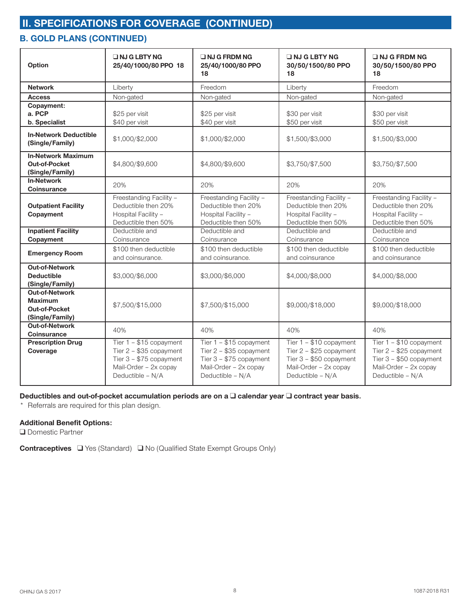## **B. GOLD PLANS (CONTINUED)**

| Option                                                                             | <b>UNJ GLBTY NG</b><br>25/40/1000/80 PPO 18                                                                                 | <b>ONJ G FRDM NG</b><br>25/40/1000/80 PPO<br>18                                                                             | <b>UNJ G LBTY NG</b><br>30/50/1500/80 PPO<br>18                                                                             | $\Box$ NJ G FRDM NG<br>30/50/1500/80 PPO<br>18                                                                              |
|------------------------------------------------------------------------------------|-----------------------------------------------------------------------------------------------------------------------------|-----------------------------------------------------------------------------------------------------------------------------|-----------------------------------------------------------------------------------------------------------------------------|-----------------------------------------------------------------------------------------------------------------------------|
| <b>Network</b>                                                                     | Liberty                                                                                                                     | Freedom                                                                                                                     | Liberty                                                                                                                     | Freedom                                                                                                                     |
| <b>Access</b>                                                                      | Non-gated                                                                                                                   | Non-gated                                                                                                                   | Non-gated                                                                                                                   | Non-gated                                                                                                                   |
| Copayment:<br>a. PCP<br>b. Specialist                                              | \$25 per visit<br>\$40 per visit                                                                                            | \$25 per visit<br>\$40 per visit                                                                                            | \$30 per visit<br>\$50 per visit                                                                                            | \$30 per visit<br>\$50 per visit                                                                                            |
| <b>In-Network Deductible</b><br>(Single/Family)                                    | \$1,000/\$2,000                                                                                                             | \$1,000/\$2,000                                                                                                             | \$1,500/\$3,000                                                                                                             | \$1,500/\$3,000                                                                                                             |
| <b>In-Network Maximum</b><br><b>Out-of-Pocket</b><br>(Single/Family)               | \$4,800/\$9,600                                                                                                             | \$4,800/\$9,600                                                                                                             | \$3,750/\$7,500                                                                                                             | \$3,750/\$7,500                                                                                                             |
| <b>In-Network</b><br><b>Coinsurance</b>                                            | 20%                                                                                                                         | 20%                                                                                                                         | 20%                                                                                                                         | 20%                                                                                                                         |
| <b>Outpatient Facility</b><br>Copayment                                            | Freestanding Facility -<br>Deductible then 20%<br>Hospital Facility -<br>Deductible then 50%                                | Freestanding Facility -<br>Deductible then 20%<br>Hospital Facility -<br>Deductible then 50%                                | Freestanding Facility -<br>Deductible then 20%<br>Hospital Facility -<br>Deductible then 50%                                | Freestanding Facility -<br>Deductible then 20%<br>Hospital Facility -<br>Deductible then 50%                                |
| <b>Inpatient Facility</b><br>Copayment                                             | Deductible and<br>Coinsurance                                                                                               | Deductible and<br>Coinsurance                                                                                               | Deductible and<br>Coinsurance                                                                                               | Deductible and<br>Coinsurance                                                                                               |
| <b>Emergency Room</b>                                                              | \$100 then deductible<br>and coinsurance.                                                                                   | \$100 then deductible<br>and coinsurance.                                                                                   | \$100 then deductible<br>and coinsurance                                                                                    | \$100 then deductible<br>and coinsurance                                                                                    |
| <b>Out-of-Network</b><br><b>Deductible</b><br>(Single/Family)                      | \$3,000/\$6,000                                                                                                             | \$3,000/\$6,000                                                                                                             | \$4,000/\$8,000                                                                                                             | \$4,000/\$8,000                                                                                                             |
| <b>Out-of-Network</b><br><b>Maximum</b><br><b>Out-of-Pocket</b><br>(Single/Family) | \$7,500/\$15,000                                                                                                            | \$7,500/\$15,000                                                                                                            | \$9,000/\$18,000                                                                                                            | \$9,000/\$18,000                                                                                                            |
| <b>Out-of-Network</b><br>Coinsurance                                               | 40%                                                                                                                         | 40%                                                                                                                         | 40%                                                                                                                         | 40%                                                                                                                         |
| <b>Prescription Drug</b><br>Coverage                                               | Tier 1 - \$15 copayment<br>Tier 2 - \$35 copayment<br>Tier $3 - $75$ copayment<br>Mail-Order - 2x copay<br>Deductible - N/A | Tier 1 - \$15 copayment<br>Tier 2 - \$35 copayment<br>Tier $3 - $75$ copayment<br>Mail-Order - 2x copay<br>Deductible - N/A | Tier 1 - \$10 copayment<br>Tier 2 - \$25 copayment<br>Tier $3 - $50$ copayment<br>Mail-Order - 2x copay<br>Deductible - N/A | Tier 1 - \$10 copayment<br>Tier 2 - \$25 copayment<br>Tier $3 - $50$ copayment<br>Mail-Order - 2x copay<br>Deductible - N/A |

#### **Deductibles and out-of-pocket accumulation periods are on a □ calendar year □ contract year basis.**

\* Referrals are required for this plan design.

#### **Additional Benefit Options:**

**Q** Domestic Partner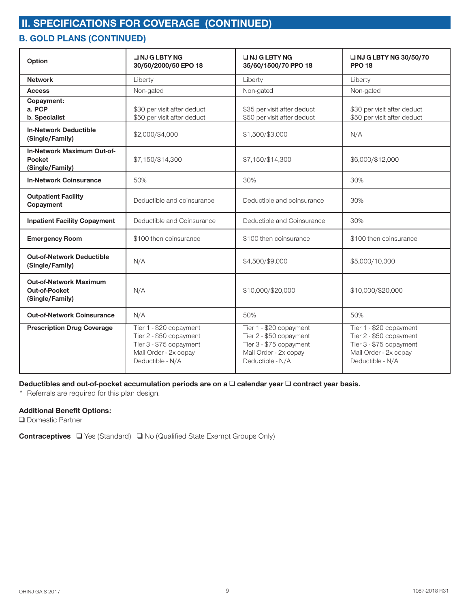## **B. GOLD PLANS (CONTINUED)**

| Option                                                                   | <b>ONJ GLBTY NG</b><br>30/50/2000/50 EPO 18                                                                                | <b>UNJ GLBTY NG</b><br>35/60/1500/70 PPO 18                                                                                | <b>U NJ G LBTY NG 30/50/70</b><br><b>PPO 18</b>                                                                            |
|--------------------------------------------------------------------------|----------------------------------------------------------------------------------------------------------------------------|----------------------------------------------------------------------------------------------------------------------------|----------------------------------------------------------------------------------------------------------------------------|
| <b>Network</b>                                                           | Liberty                                                                                                                    | Liberty                                                                                                                    | Liberty                                                                                                                    |
| <b>Access</b>                                                            | Non-gated                                                                                                                  | Non-gated                                                                                                                  | Non-gated                                                                                                                  |
| Copayment:<br>a. PCP<br>b. Specialist                                    | \$30 per visit after deduct<br>\$50 per visit after deduct                                                                 | \$35 per visit after deduct<br>\$50 per visit after deduct                                                                 | \$30 per visit after deduct<br>\$50 per visit after deduct                                                                 |
| <b>In-Network Deductible</b><br>(Single/Family)                          | \$2,000/\$4,000                                                                                                            | \$1,500/\$3,000                                                                                                            | N/A                                                                                                                        |
| <b>In-Network Maximum Out-of-</b><br><b>Pocket</b><br>(Single/Family)    | \$7,150/\$14,300                                                                                                           | \$7,150/\$14,300                                                                                                           | \$6,000/\$12,000                                                                                                           |
| <b>In-Network Coinsurance</b>                                            | 50%                                                                                                                        | 30%                                                                                                                        | 30%                                                                                                                        |
| <b>Outpatient Facility</b><br>Copayment                                  | Deductible and coinsurance                                                                                                 | Deductible and coinsurance                                                                                                 | 30%                                                                                                                        |
| <b>Inpatient Facility Copayment</b>                                      | Deductible and Coinsurance                                                                                                 | Deductible and Coinsurance                                                                                                 | 30%                                                                                                                        |
| <b>Emergency Room</b>                                                    | \$100 then coinsurance                                                                                                     | \$100 then coinsurance                                                                                                     | \$100 then coinsurance                                                                                                     |
| <b>Out-of-Network Deductible</b><br>(Single/Family)                      | N/A                                                                                                                        | \$4,500/\$9,000                                                                                                            | \$5,000/10,000                                                                                                             |
| <b>Out-of-Network Maximum</b><br><b>Out-of-Pocket</b><br>(Single/Family) | N/A                                                                                                                        | \$10,000/\$20,000                                                                                                          | \$10,000/\$20,000                                                                                                          |
| <b>Out-of-Network Coinsurance</b>                                        | N/A                                                                                                                        | 50%                                                                                                                        | 50%                                                                                                                        |
| <b>Prescription Drug Coverage</b>                                        | Tier 1 - \$20 copayment<br>Tier 2 - \$50 copayment<br>Tier 3 - \$75 copayment<br>Mail Order - 2x copay<br>Deductible - N/A | Tier 1 - \$20 copayment<br>Tier 2 - \$50 copayment<br>Tier 3 - \$75 copayment<br>Mail Order - 2x copay<br>Deductible - N/A | Tier 1 - \$20 copayment<br>Tier 2 - \$50 copayment<br>Tier 3 - \$75 copayment<br>Mail Order - 2x copay<br>Deductible - N/A |

#### **Deductibles and out-of-pocket accumulation periods are on a □ calendar year □ contract year basis.**

\* Referrals are required for this plan design.

#### **Additional Benefit Options:**

**Q** Domestic Partner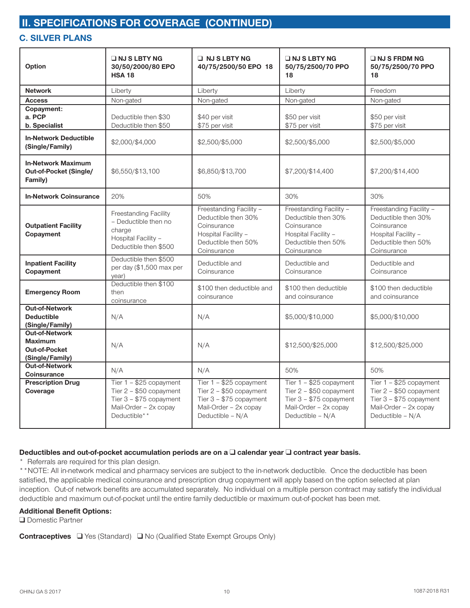### **C. SILVER PLANS**

| Option                                                                             | $\Box$ NJ S LBTY NG<br>30/50/2000/80 EPO<br><b>HSA 18</b>                                                                 | $\Box$ NJ S LBTY NG<br>40/75/2500/50 EPO 18                                                                                 | $\Box$ NJ S LBTY NG<br>50/75/2500/70 PPO<br>18                                                                              | $\Box$ NJ S FRDM NG<br>50/75/2500/70 PPO<br>18                                                                             |
|------------------------------------------------------------------------------------|---------------------------------------------------------------------------------------------------------------------------|-----------------------------------------------------------------------------------------------------------------------------|-----------------------------------------------------------------------------------------------------------------------------|----------------------------------------------------------------------------------------------------------------------------|
| <b>Network</b>                                                                     | Liberty                                                                                                                   | Liberty                                                                                                                     | Liberty                                                                                                                     | Freedom                                                                                                                    |
| <b>Access</b>                                                                      | Non-gated                                                                                                                 | Non-gated                                                                                                                   | Non-gated                                                                                                                   | Non-gated                                                                                                                  |
| Copayment:<br>a. PCP<br>b. Specialist                                              | Deductible then \$30<br>Deductible then \$50                                                                              | \$40 per visit<br>\$75 per visit                                                                                            | \$50 per visit<br>\$75 per visit                                                                                            | \$50 per visit<br>\$75 per visit                                                                                           |
| <b>In-Network Deductible</b><br>(Single/Family)                                    | \$2,000/\$4,000                                                                                                           | \$2,500/\$5,000                                                                                                             | \$2,500/\$5,000                                                                                                             | \$2,500/\$5,000                                                                                                            |
| <b>In-Network Maximum</b><br>Out-of-Pocket (Single/<br>Family)                     | \$6,550/\$13,100                                                                                                          | \$6,850/\$13,700                                                                                                            | \$7,200/\$14,400                                                                                                            | \$7,200/\$14,400                                                                                                           |
| <b>In-Network Coinsurance</b>                                                      | 20%                                                                                                                       | 50%                                                                                                                         | 30%                                                                                                                         | 30%                                                                                                                        |
| <b>Outpatient Facility</b><br>Copayment                                            | <b>Freestanding Facility</b><br>- Deductible then no<br>charge<br>Hospital Facility -<br>Deductible then \$500            | Freestanding Facility -<br>Deductible then 30%<br>Coinsurance<br>Hospital Facility -<br>Deductible then 50%<br>Coinsurance  | Freestanding Facility -<br>Deductible then 30%<br>Coinsurance<br>Hospital Facility -<br>Deductible then 50%<br>Coinsurance  | Freestanding Facility -<br>Deductible then 30%<br>Coinsurance<br>Hospital Facility -<br>Deductible then 50%<br>Coinsurance |
| <b>Inpatient Facility</b><br>Copayment                                             | Deductible then \$500<br>per day (\$1,500 max per<br>year)                                                                | Deductible and<br>Coinsurance                                                                                               | Deductible and<br>Coinsurance                                                                                               | Deductible and<br>Coinsurance                                                                                              |
| <b>Emergency Room</b>                                                              | Deductible then \$100<br>then<br>coinsurance                                                                              | \$100 then deductible and<br>coinsurance                                                                                    | \$100 then deductible<br>and coinsurance                                                                                    | \$100 then deductible<br>and coinsurance                                                                                   |
| <b>Out-of-Network</b><br><b>Deductible</b><br>(Single/Family)                      | N/A                                                                                                                       | N/A                                                                                                                         | \$5,000/\$10,000                                                                                                            | \$5,000/\$10,000                                                                                                           |
| <b>Out-of-Network</b><br><b>Maximum</b><br><b>Out-of-Pocket</b><br>(Single/Family) | N/A                                                                                                                       | N/A                                                                                                                         | \$12,500/\$25,000                                                                                                           | \$12,500/\$25,000                                                                                                          |
| <b>Out-of-Network</b><br>Coinsurance                                               | N/A                                                                                                                       | N/A                                                                                                                         | 50%                                                                                                                         | 50%                                                                                                                        |
| <b>Prescription Drug</b><br>Coverage                                               | Tier 1 - \$25 copayment<br>Tier $2 - $50$ copayment<br>Tier $3 - $75$ copayment<br>Mail-Order - 2x copay<br>Deductible* * | Tier 1 - \$25 copayment<br>Tier 2 - \$50 copayment<br>Tier $3 - $75$ copayment<br>Mail-Order - 2x copay<br>Deductible - N/A | Tier 1 - \$25 copayment<br>Tier $2 - $50$ copayment<br>Tier 3 - \$75 copayment<br>Mail-Order - 2x copay<br>Deductible - N/A | Tier 1 - \$25 copayment<br>Tier 2 - \$50 copayment<br>Tier 3 - \$75 copayment<br>Mail-Order - 2x copay<br>Deductible - N/A |

#### **Deductibles and out-of-pocket accumulation periods are on a □ calendar year □ contract year basis.**

\* Referrals are required for this plan design.

\*\*NOTE: All in-network medical and pharmacy services are subject to the in-network deductible. Once the deductible has been satisfied, the applicable medical coinsurance and prescription drug copayment will apply based on the option selected at plan inception. Out-of network benefits are accumulated separately. No individual on a multiple person contract may satisfy the individual deductible and maximum out-of-pocket until the entire family deductible or maximum out-of-pocket has been met.

#### **Additional Benefit Options:**

**Q** Domestic Partner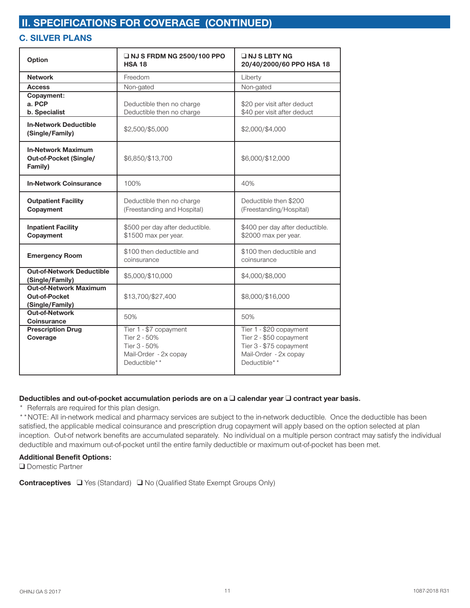## **C. SILVER PLANS**

| Option                                                            | □ NJ S FRDM NG 2500/100 PPO<br><b>HSA 18</b>                                                    | INJ SLBTY NG<br>20/40/2000/60 PPO HSA 18                                                                               |  |
|-------------------------------------------------------------------|-------------------------------------------------------------------------------------------------|------------------------------------------------------------------------------------------------------------------------|--|
| <b>Network</b>                                                    | Freedom                                                                                         | Liberty                                                                                                                |  |
| <b>Access</b>                                                     | Non-gated                                                                                       | Non-gated                                                                                                              |  |
| Copayment:<br>a. PCP<br>b. Specialist                             | Deductible then no charge<br>Deductible then no charge                                          | \$20 per visit after deduct<br>\$40 per visit after deduct                                                             |  |
| <b>In-Network Deductible</b><br>(Single/Family)                   | \$2,500/\$5,000                                                                                 | \$2,000/\$4,000                                                                                                        |  |
| <b>In-Network Maximum</b><br>Out-of-Pocket (Single/<br>Family)    | \$6,850/\$13,700                                                                                | \$6,000/\$12,000                                                                                                       |  |
| <b>In-Network Coinsurance</b>                                     | 100%                                                                                            | 40%                                                                                                                    |  |
| <b>Outpatient Facility</b><br>Copayment                           | Deductible then no charge<br>(Freestanding and Hospital)                                        | Deductible then \$200<br>(Freestanding/Hospital)                                                                       |  |
| <b>Inpatient Facility</b><br>Copayment                            | \$500 per day after deductible.<br>\$1500 max per year.                                         | \$400 per day after deductible.<br>\$2000 max per year.                                                                |  |
| <b>Emergency Room</b>                                             | \$100 then deductible and<br>coinsurance                                                        | \$100 then deductible and<br>coinsurance                                                                               |  |
| <b>Out-of-Network Deductible</b><br>(Single/Family)               | \$5,000/\$10,000                                                                                | \$4,000/\$8,000                                                                                                        |  |
| <b>Out-of-Network Maximum</b><br>Out-of-Pocket<br>(Single/Family) | \$13,700/\$27,400                                                                               | \$8,000/\$16,000                                                                                                       |  |
| <b>Out-of-Network</b><br><b>Coinsurance</b>                       | 50%                                                                                             | 50%                                                                                                                    |  |
| <b>Prescription Drug</b><br>Coverage                              | Tier 1 - \$7 copayment<br>Tier 2 - 50%<br>Tier 3 - 50%<br>Mail-Order - 2x copay<br>Deductible** | Tier 1 - \$20 copayment<br>Tier 2 - \$50 copayment<br>Tier 3 - \$75 copayment<br>Mail-Order - 2x copay<br>Deductible** |  |

#### **Deductibles and out-of-pocket accumulation periods are on a □ calendar year □ contract year basis.**

\* Referrals are required for this plan design.

\*\*NOTE: All in-network medical and pharmacy services are subject to the in-network deductible. Once the deductible has been satisfied, the applicable medical coinsurance and prescription drug copayment will apply based on the option selected at plan inception. Out-of network benefits are accumulated separately. No individual on a multiple person contract may satisfy the individual deductible and maximum out-of-pocket until the entire family deductible or maximum out-of-pocket has been met.

#### **Additional Benefit Options:**

**O** Domestic Partner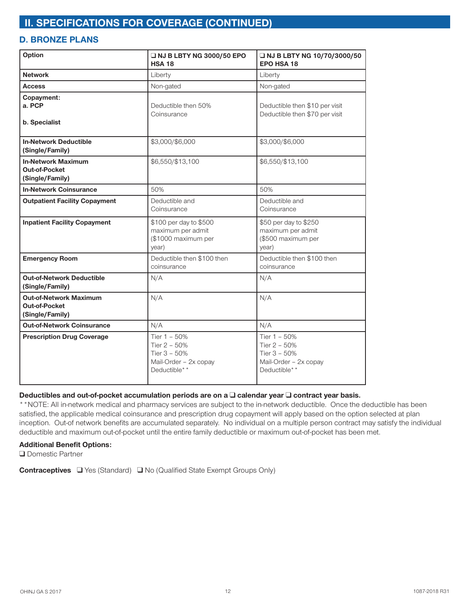### **D. BRONZE PLANS**

| Option                                                                   | <b>U NJ B LBTY NG 3000/50 EPO</b><br><b>HSA 18</b>                                      | □ NJ B LBTY NG 10/70/3000/50<br><b>EPO HSA 18</b>                                       |
|--------------------------------------------------------------------------|-----------------------------------------------------------------------------------------|-----------------------------------------------------------------------------------------|
| <b>Network</b>                                                           | Liberty                                                                                 | Liberty                                                                                 |
| <b>Access</b>                                                            | Non-gated                                                                               | Non-gated                                                                               |
| Copayment:<br>a. PCP<br>b. Specialist                                    | Deductible then 50%<br>Coinsurance                                                      | Deductible then \$10 per visit<br>Deductible then \$70 per visit                        |
| <b>In-Network Deductible</b><br>(Single/Family)                          | \$3,000/\$6,000                                                                         | \$3,000/\$6,000                                                                         |
| <b>In-Network Maximum</b><br><b>Out-of-Pocket</b><br>(Single/Family)     | \$6,550/\$13,100                                                                        | \$6,550/\$13,100                                                                        |
| <b>In-Network Coinsurance</b>                                            | 50%                                                                                     | 50%                                                                                     |
| <b>Outpatient Facility Copayment</b>                                     | Deductible and<br>Coinsurance                                                           | Deductible and<br>Coinsurance                                                           |
| <b>Inpatient Facility Copayment</b>                                      | \$100 per day to \$500<br>maximum per admit<br>(\$1000 maximum per<br>year)             | \$50 per day to \$250<br>maximum per admit<br>(\$500 maximum per<br>year)               |
| <b>Emergency Room</b>                                                    | Deductible then \$100 then<br>coinsurance                                               | Deductible then \$100 then<br>coinsurance                                               |
| <b>Out-of-Network Deductible</b><br>(Single/Family)                      | N/A                                                                                     | N/A                                                                                     |
| <b>Out-of-Network Maximum</b><br><b>Out-of-Pocket</b><br>(Single/Family) | N/A                                                                                     | N/A                                                                                     |
| <b>Out-of-Network Coinsurance</b>                                        | N/A                                                                                     | N/A                                                                                     |
| <b>Prescription Drug Coverage</b>                                        | Tier 1 - 50%<br>Tier 2 - 50%<br>Tier $3 - 50%$<br>Mail-Order - 2x copay<br>Deductible** | Tier 1 - 50%<br>Tier 2 - 50%<br>Tier $3 - 50%$<br>Mail-Order - 2x copay<br>Deductible** |

#### Deductibles and out-of-pocket accumulation periods are on a □ calendar year □ contract year basis.

\*\*NOTE: All in-network medical and pharmacy services are subject to the in-network deductible. Once the deductible has been satisfied, the applicable medical coinsurance and prescription drug copayment will apply based on the option selected at plan inception. Out-of network benefits are accumulated separately. No individual on a multiple person contract may satisfy the individual deductible and maximum out-of-pocket until the entire family deductible or maximum out-of-pocket has been met.

#### **Additional Benefit Options:**

**Q** Domestic Partner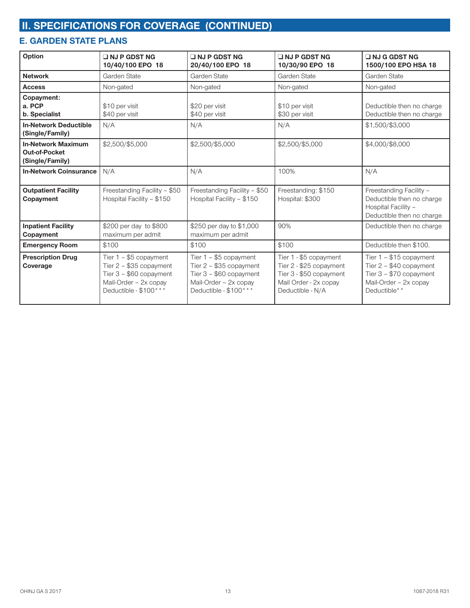## **E. GARDEN STATE PLANS**

| Option                                                               | $\Box$ NJ P GDST NG<br>10/40/100 EPO 18                                                                                           | $\Box$ NJ P GDST NG<br>20/40/100 EPO 18                                                                                          | $\square$ NJ P GDST NG<br>10/30/90 EPO 18                                                                                 | $\Box$ NJ G GDST NG<br>1500/100 EPO HSA 18                                                                                 |  |
|----------------------------------------------------------------------|-----------------------------------------------------------------------------------------------------------------------------------|----------------------------------------------------------------------------------------------------------------------------------|---------------------------------------------------------------------------------------------------------------------------|----------------------------------------------------------------------------------------------------------------------------|--|
| <b>Network</b>                                                       | Garden State                                                                                                                      | Garden State                                                                                                                     | Garden State                                                                                                              | Garden State                                                                                                               |  |
| <b>Access</b>                                                        | Non-gated                                                                                                                         | Non-gated                                                                                                                        | Non-gated                                                                                                                 | Non-gated                                                                                                                  |  |
| Copayment:<br>a. PCP<br>b. Specialist                                | \$10 per visit<br>\$40 per visit                                                                                                  | \$20 per visit<br>\$40 per visit                                                                                                 | \$10 per visit<br>\$30 per visit                                                                                          | Deductible then no charge<br>Deductible then no charge                                                                     |  |
| <b>In-Network Deductible</b><br>(Single/Family)                      | N/A                                                                                                                               | N/A                                                                                                                              | N/A                                                                                                                       | \$1,500/\$3,000                                                                                                            |  |
| <b>In-Network Maximum</b><br><b>Out-of-Pocket</b><br>(Single/Family) | \$2,500/\$5,000                                                                                                                   | \$2,500/\$5,000                                                                                                                  | \$2,500/\$5,000                                                                                                           | \$4,000/\$8,000                                                                                                            |  |
| <b>In-Network Coinsurance</b>                                        | N/A                                                                                                                               | N/A                                                                                                                              | 100%                                                                                                                      | N/A                                                                                                                        |  |
| <b>Outpatient Facility</b><br>Copayment                              | Freestanding Facility - \$50<br>Hospital Facility - \$150                                                                         | Freestanding Facility - \$50<br>Hospital Facility - \$150                                                                        | Freestanding: \$150<br>Hospital: \$300                                                                                    | Freestanding Facility -<br>Deductible then no charge<br>Hospital Facility -<br>Deductible then no charge                   |  |
| <b>Inpatient Facility</b><br>Copayment                               | \$200 per day to \$800<br>maximum per admit                                                                                       | \$250 per day to \$1,000<br>maximum per admit                                                                                    | 90%                                                                                                                       | Deductible then no charge                                                                                                  |  |
| <b>Emergency Room</b>                                                | \$100                                                                                                                             | \$100                                                                                                                            | \$100                                                                                                                     | Deductible then \$100.                                                                                                     |  |
| <b>Prescription Drug</b><br>Coverage                                 | Tier $1 - $5$ copayment<br>Tier $2 - $35$ copayment<br>Tier $3 - $60$ copayment<br>Mail-Order - 2x copay<br>Deductible - \$100*** | Tier 1 - \$5 copayment<br>Tier $2 - $35$ copayment<br>Tier $3 - $60$ copayment<br>Mail-Order - 2x copay<br>Deductible - \$100*** | Tier 1 - \$5 copayment<br>Tier 2 - \$25 copayment<br>Tier 3 - \$50 copayment<br>Mail Order - 2x copay<br>Deductible - N/A | Tier $1 - $15$ copayment<br>Tier $2 - $40$ copayment<br>Tier $3 - $70$ copayment<br>Mail-Order - 2x copay<br>Deductible* * |  |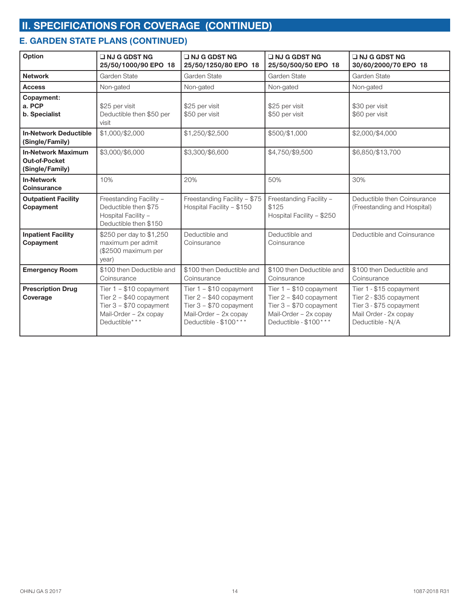## **E. GARDEN STATE PLANS (CONTINUED)**

| Option                                                               | $\Box$ NJ G GDST NG<br>25/50/1000/90 EPO 18                                                                                  | $\Box$ NJ G GDST NG<br>25/50/1250/80 EPO 18                                                                                        | $\Box$ NJ G GDST NG<br>25/50/500/50 EPO 18                                                                                         | $\Box$ NJ G GDST NG<br>30/60/2000/70 EPO 18                                                                                |  |
|----------------------------------------------------------------------|------------------------------------------------------------------------------------------------------------------------------|------------------------------------------------------------------------------------------------------------------------------------|------------------------------------------------------------------------------------------------------------------------------------|----------------------------------------------------------------------------------------------------------------------------|--|
| <b>Network</b>                                                       | Garden State                                                                                                                 | Garden State                                                                                                                       | Garden State                                                                                                                       | Garden State                                                                                                               |  |
| <b>Access</b>                                                        | Non-gated                                                                                                                    | Non-gated                                                                                                                          | Non-gated                                                                                                                          | Non-gated                                                                                                                  |  |
| Copayment:<br>a. PCP<br>b. Specialist                                | \$25 per visit<br>Deductible then \$50 per<br>visit                                                                          | \$25 per visit<br>\$50 per visit                                                                                                   | \$25 per visit<br>\$50 per visit                                                                                                   | \$30 per visit<br>\$60 per visit                                                                                           |  |
| <b>In-Network Deductible</b><br>(Single/Family)                      | \$1,000/\$2,000                                                                                                              | \$1,250/\$2,500                                                                                                                    | \$500/\$1,000                                                                                                                      | \$2,000/\$4,000                                                                                                            |  |
| <b>In-Network Maximum</b><br><b>Out-of-Pocket</b><br>(Single/Family) | \$3,000/\$6,000                                                                                                              | \$3,300/\$6,600                                                                                                                    | \$4,750/\$9,500                                                                                                                    | \$6,850/\$13,700                                                                                                           |  |
| <b>In-Network</b><br>Coinsurance                                     | 10%                                                                                                                          | 20%                                                                                                                                | 50%                                                                                                                                | 30%                                                                                                                        |  |
| <b>Outpatient Facility</b><br>Copayment                              | Freestanding Facility -<br>Deductible then \$75<br>Hospital Facility -<br>Deductible then \$150                              | Freestanding Facility - \$75<br>Hospital Facility - \$150                                                                          | Freestanding Facility -<br>\$125<br>Hospital Facility - \$250                                                                      | Deductible then Coinsurance<br>(Freestanding and Hospital)                                                                 |  |
| <b>Inpatient Facility</b><br>Copayment                               | \$250 per day to \$1,250<br>maximum per admit<br>(\$2500 maximum per<br>year)                                                | Deductible and<br>Coinsurance                                                                                                      | Deductible and<br>Coinsurance                                                                                                      | Deductible and Coinsurance                                                                                                 |  |
| <b>Emergency Room</b>                                                | \$100 then Deductible and<br>Coinsurance                                                                                     | \$100 then Deductible and<br>Coinsurance                                                                                           | \$100 then Deductible and<br>Coinsurance                                                                                           | \$100 then Deductible and<br>Coinsurance                                                                                   |  |
| <b>Prescription Drug</b><br>Coverage                                 | Tier $1 - $10$ copayment<br>Tier $2 - $40$ copayment<br>Tier $3 - $70$ copayment<br>Mail-Order - 2x copay<br>Deductible* * * | Tier $1 - $10$ copayment<br>Tier $2 - $40$ copayment<br>Tier $3 - $70$ copayment<br>Mail-Order - 2x copay<br>Deductible - \$100*** | Tier $1 - $10$ copayment<br>Tier $2 - $40$ copayment<br>Tier $3 - $70$ copayment<br>Mail-Order - 2x copay<br>Deductible - \$100*** | Tier 1 - \$15 copayment<br>Tier 2 - \$35 copayment<br>Tier 3 - \$75 copayment<br>Mail Order - 2x copay<br>Deductible - N/A |  |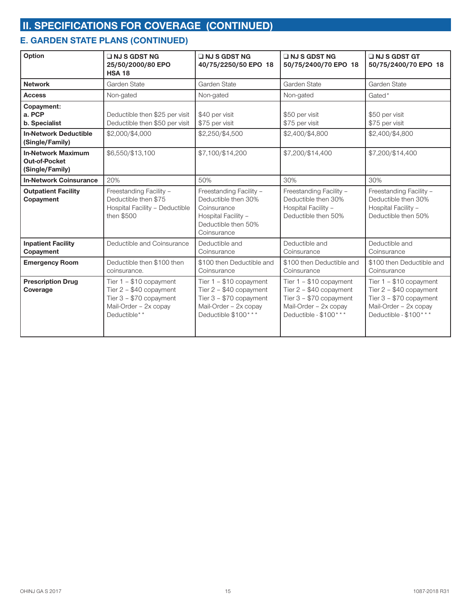## **E. GARDEN STATE PLANS (CONTINUED)**

| Option                                                               | $\Box$ NJ S GDST NG<br>25/50/2000/80 EPO<br><b>HSA 18</b>                                                                 | $\Box$ NJ S GDST NG<br>40/75/2250/50 EPO 18                                                                                     | $\Box$ NJ S GDST NG<br>50/75/2400/70 EPO 18                                                                                       | $\Box$ NJ S GDST GT<br>50/75/2400/70 EPO 18                                                                                        |  |
|----------------------------------------------------------------------|---------------------------------------------------------------------------------------------------------------------------|---------------------------------------------------------------------------------------------------------------------------------|-----------------------------------------------------------------------------------------------------------------------------------|------------------------------------------------------------------------------------------------------------------------------------|--|
| <b>Network</b>                                                       | Garden State                                                                                                              | Garden State                                                                                                                    | Garden State                                                                                                                      | Garden State                                                                                                                       |  |
| <b>Access</b>                                                        | Non-gated                                                                                                                 | Non-gated                                                                                                                       | Non-gated                                                                                                                         | Gated*                                                                                                                             |  |
| Copayment:<br>a. PCP<br>b. Specialist                                | Deductible then \$25 per visit<br>Deductible then \$50 per visit                                                          | \$40 per visit<br>\$75 per visit                                                                                                | \$50 per visit<br>\$75 per visit                                                                                                  | \$50 per visit<br>\$75 per visit                                                                                                   |  |
| <b>In-Network Deductible</b><br>(Single/Family)                      | \$2,000/\$4,000                                                                                                           | \$2,250/\$4,500                                                                                                                 | \$2,400/\$4,800                                                                                                                   | \$2,400/\$4,800                                                                                                                    |  |
| <b>In-Network Maximum</b><br><b>Out-of-Pocket</b><br>(Single/Family) | \$6,550/\$13,100                                                                                                          | \$7,200/\$14,400<br>\$7,100/\$14,200                                                                                            |                                                                                                                                   | \$7,200/\$14,400                                                                                                                   |  |
| <b>In-Network Coinsurance</b>                                        | 20%                                                                                                                       | 50%                                                                                                                             | 30%                                                                                                                               | 30%                                                                                                                                |  |
| <b>Outpatient Facility</b><br>Copayment                              | Freestanding Facility -<br>Deductible then \$75<br>Hospital Facility - Deductible<br>then \$500                           | Freestanding Facility -<br>Deductible then 30%<br>Coinsurance<br>Hospital Facility -<br>Deductible then 50%<br>Coinsurance      | Freestanding Facility -<br>Deductible then 30%<br>Hospital Facility -<br>Deductible then 50%                                      | Freestanding Facility -<br>Deductible then 30%<br>Hospital Facility -<br>Deductible then 50%                                       |  |
| <b>Inpatient Facility</b><br>Copayment                               | Deductible and Coinsurance                                                                                                | Deductible and<br>Coinsurance                                                                                                   | Deductible and<br>Coinsurance                                                                                                     | Deductible and<br>Coinsurance                                                                                                      |  |
| <b>Emergency Room</b>                                                | Deductible then \$100 then<br>coinsurance.                                                                                | \$100 then Deductible and<br>Coinsurance                                                                                        | \$100 then Deductible and<br>Coinsurance                                                                                          | \$100 then Deductible and<br>Coinsurance                                                                                           |  |
| <b>Prescription Drug</b><br>Coverage                                 | Tier $1 - $10$ copayment<br>Tier $2 - $40$ copayment<br>Tier $3 - $70$ copayment<br>Mail-Order - 2x copay<br>Deductible** | Tier $1 - $10$ copayment<br>Tier 2 - \$40 copayment<br>Tier $3 - $70$ copayment<br>Mail-Order - 2x copay<br>Deductible \$100*** | Tier $1 - $10$ copayment<br>Tier 2 - \$40 copayment<br>Tier $3 - $70$ copayment<br>Mail-Order - 2x copay<br>Deductible - \$100*** | Tier $1 - $10$ copayment<br>Tier $2 - $40$ copayment<br>Tier $3 - $70$ copayment<br>Mail-Order - 2x copay<br>Deductible - \$100*** |  |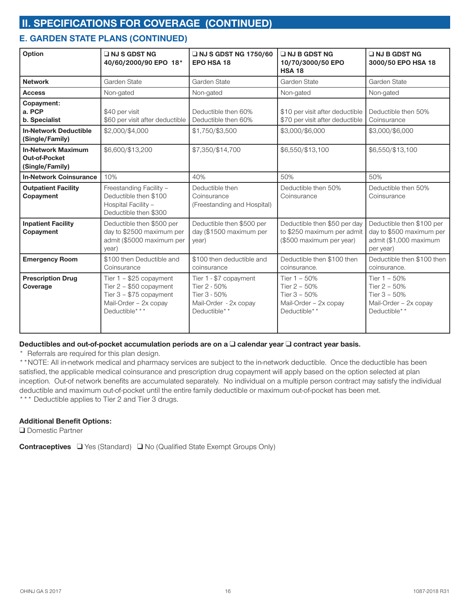### **E. GARDEN STATE PLANS (CONTINUED)**

| Option                                                               | $\Box$ NJ S GDST NG<br>40/60/2000/90 EPO 18*                                                                                 | <b>UNJ S GDST NG 1750/60</b><br><b>EPO HSA 18</b>                                               | INJ B GDST NG<br>10/70/3000/50 EPO<br><b>HSA 18</b>                                       | $\Box$ NJ B GDST NG<br>3000/50 EPO HSA 18                                                    |  |
|----------------------------------------------------------------------|------------------------------------------------------------------------------------------------------------------------------|-------------------------------------------------------------------------------------------------|-------------------------------------------------------------------------------------------|----------------------------------------------------------------------------------------------|--|
| <b>Network</b>                                                       | Garden State                                                                                                                 | Garden State                                                                                    | Garden State                                                                              | Garden State                                                                                 |  |
| <b>Access</b>                                                        | Non-gated                                                                                                                    | Non-gated                                                                                       | Non-gated                                                                                 | Non-gated                                                                                    |  |
| Copayment:<br>a. PCP<br>b. Specialist                                | \$40 per visit<br>\$60 per visit after deductible                                                                            | Deductible then 60%<br>Deductible then 60%                                                      | \$10 per visit after deductible<br>\$70 per visit after deductible                        | Deductible then 50%<br>Coinsurance                                                           |  |
| <b>In-Network Deductible</b><br>(Single/Family)                      | \$2,000/\$4,000                                                                                                              | \$1,750/\$3,500                                                                                 | \$3,000/\$6,000                                                                           | \$3,000/\$6,000                                                                              |  |
| <b>In-Network Maximum</b><br><b>Out-of-Pocket</b><br>(Single/Family) | \$6,600/\$13,200                                                                                                             | \$7,350/\$14,700                                                                                | \$6,550/\$13,100                                                                          | \$6,550/\$13,100                                                                             |  |
| <b>In-Network Coinsurance</b>                                        | 10%                                                                                                                          | 40%                                                                                             | 50%                                                                                       | 50%                                                                                          |  |
| <b>Outpatient Facility</b><br>Copayment                              | Freestanding Facility -<br>Deductible then \$100<br>Hospital Facility -<br>Deductible then \$300                             | Deductible then<br>Coinsurance<br>(Freestanding and Hospital)                                   | Deductible then 50%<br>Coinsurance                                                        | Deductible then 50%<br>Coinsurance                                                           |  |
| <b>Inpatient Facility</b><br>Copayment                               | Deductible then \$500 per<br>day to \$2500 maximum per<br>admit (\$5000 maximum per<br>year)                                 | Deductible then \$500 per<br>day (\$1500 maximum per<br>year)                                   | Deductible then \$50 per day<br>to \$250 maximum per admit<br>(\$500 maximum per year)    | Deductible then \$100 per<br>day to \$500 maximum per<br>admit (\$1,000 maximum<br>per year) |  |
| <b>Emergency Room</b>                                                | \$100 then Deductible and<br>\$100 then deductible and<br>Coinsurance<br>coinsurance<br>coinsurance.                         |                                                                                                 | Deductible then \$100 then                                                                | Deductible then \$100 then<br>coinsurance.                                                   |  |
| <b>Prescription Drug</b><br>Coverage                                 | Tier $1 - $25$ copayment<br>Tier $2 - $50$ copayment<br>Tier $3 - $75$ copayment<br>Mail-Order - 2x copay<br>Deductible* * * | Tier 1 - \$7 copayment<br>Tier 2 - 50%<br>Tier 3 - 50%<br>Mail-Order - 2x copay<br>Deductible** | Tier $1 - 50%$<br>Tier 2 - 50%<br>Tier $3 - 50%$<br>Mail-Order - 2x copay<br>Deductible** | Tier $1 - 50%$<br>Tier 2 - 50%<br>Tier $3 - 50%$<br>Mail-Order - 2x copay<br>Deductible**    |  |

#### **Deductibles and out-of-pocket accumulation periods are on a □ calendar year □ contract year basis.**

\* Referrals are required for this plan design.

\*\*NOTE: All in-network medical and pharmacy services are subject to the in-network deductible. Once the deductible has been satisfied, the applicable medical coinsurance and prescription drug copayment will apply based on the option selected at plan inception. Out-of network benefits are accumulated separately. No individual on a multiple person contract may satisfy the individual deductible and maximum out-of-pocket until the entire family deductible or maximum out-of-pocket has been met. \*\*\* Deductible applies to Tier 2 and Tier 3 drugs.

#### **Additional Benefit Options:**

**Q** Domestic Partner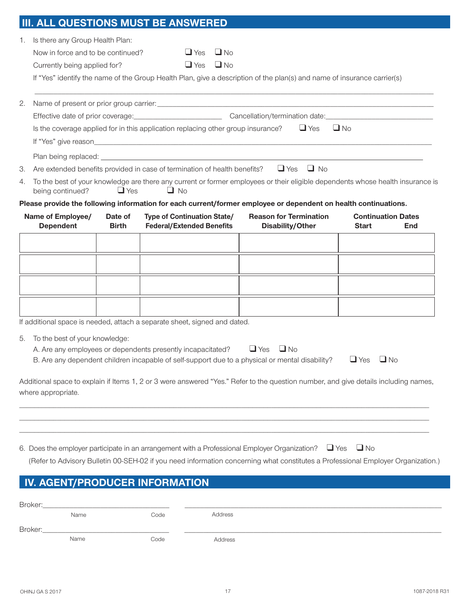# **III. ALL QUESTIONS MUST BE ANSWERED**

|    |                                                                                                                                                                               | U I I U I VI U                                                                                              |                                                                           |                        |                                                                                                                                     |                                           |           |  |
|----|-------------------------------------------------------------------------------------------------------------------------------------------------------------------------------|-------------------------------------------------------------------------------------------------------------|---------------------------------------------------------------------------|------------------------|-------------------------------------------------------------------------------------------------------------------------------------|-------------------------------------------|-----------|--|
| 1. | Is there any Group Health Plan:                                                                                                                                               |                                                                                                             |                                                                           |                        |                                                                                                                                     |                                           |           |  |
|    | Now in force and to be continued?                                                                                                                                             |                                                                                                             | $\Box$ Yes<br>$\Box$ Yes                                                  | $\Box$ No<br>$\Box$ No |                                                                                                                                     |                                           |           |  |
|    | Currently being applied for?                                                                                                                                                  |                                                                                                             |                                                                           |                        |                                                                                                                                     |                                           |           |  |
|    |                                                                                                                                                                               |                                                                                                             |                                                                           |                        | If "Yes" identify the name of the Group Health Plan, give a description of the plan(s) and name of insurance carrier(s)             |                                           |           |  |
| 2. |                                                                                                                                                                               |                                                                                                             |                                                                           |                        |                                                                                                                                     |                                           |           |  |
|    |                                                                                                                                                                               |                                                                                                             |                                                                           |                        |                                                                                                                                     |                                           |           |  |
|    |                                                                                                                                                                               | $\Box$ Yes<br>$\Box$ No<br>Is the coverage applied for in this application replacing other group insurance? |                                                                           |                        |                                                                                                                                     |                                           |           |  |
|    |                                                                                                                                                                               |                                                                                                             |                                                                           |                        |                                                                                                                                     |                                           |           |  |
|    |                                                                                                                                                                               |                                                                                                             |                                                                           |                        |                                                                                                                                     |                                           |           |  |
| 3. |                                                                                                                                                                               |                                                                                                             | Are extended benefits provided in case of termination of health benefits? |                        | $\Box$ No<br>$\Box$ Yes                                                                                                             |                                           |           |  |
| 4. | To the best of your knowledge are there any current or former employees or their eligible dependents whose health insurance is<br>$\Box$ Yes<br>$\Box$ No<br>being continued? |                                                                                                             |                                                                           |                        |                                                                                                                                     |                                           |           |  |
|    |                                                                                                                                                                               |                                                                                                             |                                                                           |                        | Please provide the following information for each current/former employee or dependent on health continuations.                     |                                           |           |  |
|    | Name of Employee/<br><b>Dependent</b>                                                                                                                                         | Date of<br><b>Birth</b>                                                                                     | <b>Type of Continuation State/</b><br><b>Federal/Extended Benefits</b>    |                        | <b>Reason for Termination</b><br>Disability/Other                                                                                   | <b>Continuation Dates</b><br><b>Start</b> | End       |  |
|    |                                                                                                                                                                               |                                                                                                             |                                                                           |                        |                                                                                                                                     |                                           |           |  |
|    |                                                                                                                                                                               |                                                                                                             |                                                                           |                        |                                                                                                                                     |                                           |           |  |
|    |                                                                                                                                                                               |                                                                                                             |                                                                           |                        |                                                                                                                                     |                                           |           |  |
|    |                                                                                                                                                                               |                                                                                                             |                                                                           |                        |                                                                                                                                     |                                           |           |  |
|    |                                                                                                                                                                               |                                                                                                             |                                                                           |                        |                                                                                                                                     |                                           |           |  |
|    |                                                                                                                                                                               |                                                                                                             |                                                                           |                        |                                                                                                                                     |                                           |           |  |
|    |                                                                                                                                                                               |                                                                                                             | If additional space is needed, attach a separate sheet, signed and dated. |                        |                                                                                                                                     |                                           |           |  |
|    |                                                                                                                                                                               |                                                                                                             |                                                                           |                        |                                                                                                                                     |                                           |           |  |
| 5. | To the best of your knowledge:                                                                                                                                                |                                                                                                             | A. Are any employees or dependents presently incapacitated?               |                        | $\Box$ Yes<br>$\Box$ No                                                                                                             |                                           |           |  |
|    |                                                                                                                                                                               |                                                                                                             |                                                                           |                        | B. Are any dependent children incapable of self-support due to a physical or mental disability?                                     | $\Box$ Yes                                | $\Box$ No |  |
|    |                                                                                                                                                                               |                                                                                                             |                                                                           |                        |                                                                                                                                     |                                           |           |  |
|    |                                                                                                                                                                               |                                                                                                             |                                                                           |                        | Additional space to explain if Items 1, 2 or 3 were answered "Yes." Refer to the question number, and give details including names, |                                           |           |  |
|    | where appropriate.                                                                                                                                                            |                                                                                                             |                                                                           |                        |                                                                                                                                     |                                           |           |  |
|    |                                                                                                                                                                               |                                                                                                             |                                                                           |                        |                                                                                                                                     |                                           |           |  |
|    |                                                                                                                                                                               |                                                                                                             |                                                                           |                        |                                                                                                                                     |                                           |           |  |
|    |                                                                                                                                                                               |                                                                                                             |                                                                           |                        |                                                                                                                                     |                                           |           |  |
|    |                                                                                                                                                                               |                                                                                                             |                                                                           |                        | $\Box$ Yes<br>6. Does the employer participate in an arrangement with a Professional Employer Organization?                         | $\Box$ No                                 |           |  |
|    |                                                                                                                                                                               |                                                                                                             |                                                                           |                        | (Refer to Advisory Bulletin 00-SEH-02 if you need information concerning what constitutes a Professional Employer Organization.)    |                                           |           |  |
|    |                                                                                                                                                                               |                                                                                                             | IV. AGENT/PRODUCER INFORMATION                                            |                        |                                                                                                                                     |                                           |           |  |
|    |                                                                                                                                                                               |                                                                                                             |                                                                           |                        |                                                                                                                                     |                                           |           |  |
|    | Broker:                                                                                                                                                                       |                                                                                                             |                                                                           |                        |                                                                                                                                     |                                           |           |  |
|    | Name                                                                                                                                                                          |                                                                                                             | Code                                                                      | Address                |                                                                                                                                     |                                           |           |  |

Name Code Address